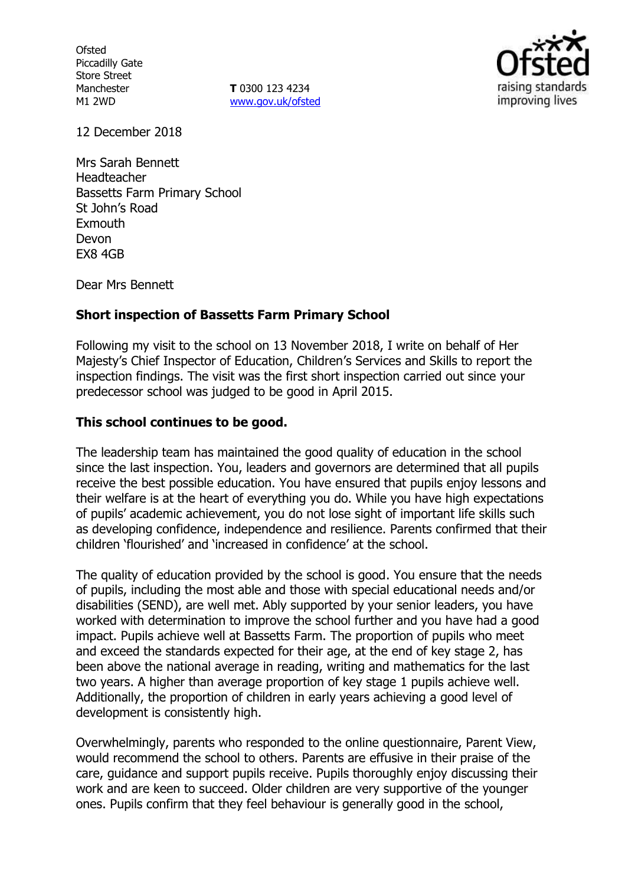**Ofsted** Piccadilly Gate Store Street Manchester M1 2WD

**T** 0300 123 4234 www.gov.uk/ofsted



12 December 2018

Mrs Sarah Bennett Headteacher Bassetts Farm Primary School St John's Road **Exmouth** Devon EX8 4GB

Dear Mrs Bennett

## **Short inspection of Bassetts Farm Primary School**

Following my visit to the school on 13 November 2018, I write on behalf of Her Majesty's Chief Inspector of Education, Children's Services and Skills to report the inspection findings. The visit was the first short inspection carried out since your predecessor school was judged to be good in April 2015.

## **This school continues to be good.**

The leadership team has maintained the good quality of education in the school since the last inspection. You, leaders and governors are determined that all pupils receive the best possible education. You have ensured that pupils enjoy lessons and their welfare is at the heart of everything you do. While you have high expectations of pupils' academic achievement, you do not lose sight of important life skills such as developing confidence, independence and resilience. Parents confirmed that their children 'flourished' and 'increased in confidence' at the school.

The quality of education provided by the school is good. You ensure that the needs of pupils, including the most able and those with special educational needs and/or disabilities (SEND), are well met. Ably supported by your senior leaders, you have worked with determination to improve the school further and you have had a good impact. Pupils achieve well at Bassetts Farm. The proportion of pupils who meet and exceed the standards expected for their age, at the end of key stage 2, has been above the national average in reading, writing and mathematics for the last two years. A higher than average proportion of key stage 1 pupils achieve well. Additionally, the proportion of children in early years achieving a good level of development is consistently high.

Overwhelmingly, parents who responded to the online questionnaire, Parent View, would recommend the school to others. Parents are effusive in their praise of the care, guidance and support pupils receive. Pupils thoroughly enjoy discussing their work and are keen to succeed. Older children are very supportive of the younger ones. Pupils confirm that they feel behaviour is generally good in the school,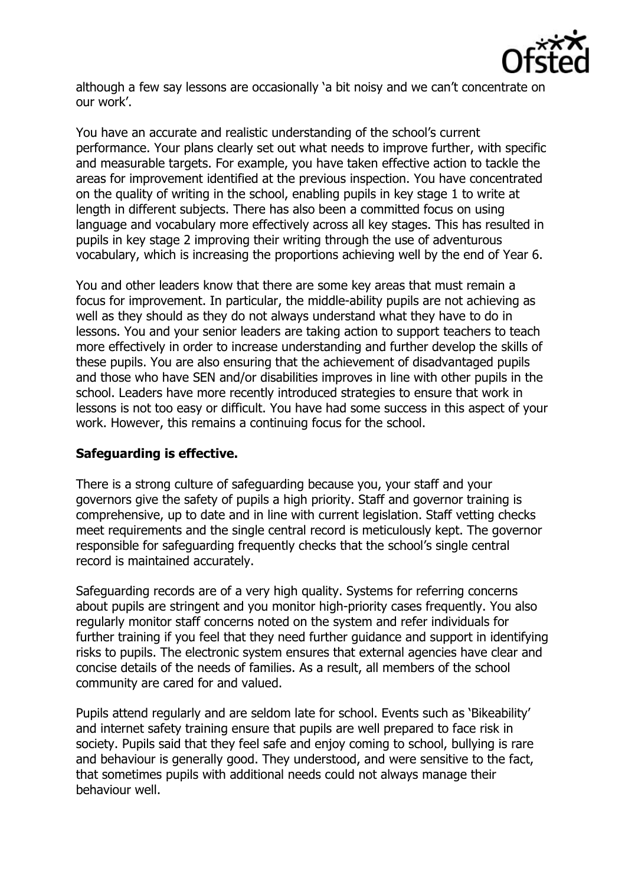

although a few say lessons are occasionally 'a bit noisy and we can't concentrate on our work'.

You have an accurate and realistic understanding of the school's current performance. Your plans clearly set out what needs to improve further, with specific and measurable targets. For example, you have taken effective action to tackle the areas for improvement identified at the previous inspection. You have concentrated on the quality of writing in the school, enabling pupils in key stage 1 to write at length in different subjects. There has also been a committed focus on using language and vocabulary more effectively across all key stages. This has resulted in pupils in key stage 2 improving their writing through the use of adventurous vocabulary, which is increasing the proportions achieving well by the end of Year 6.

You and other leaders know that there are some key areas that must remain a focus for improvement. In particular, the middle-ability pupils are not achieving as well as they should as they do not always understand what they have to do in lessons. You and your senior leaders are taking action to support teachers to teach more effectively in order to increase understanding and further develop the skills of these pupils. You are also ensuring that the achievement of disadvantaged pupils and those who have SEN and/or disabilities improves in line with other pupils in the school. Leaders have more recently introduced strategies to ensure that work in lessons is not too easy or difficult. You have had some success in this aspect of your work. However, this remains a continuing focus for the school.

## **Safeguarding is effective.**

There is a strong culture of safeguarding because you, your staff and your governors give the safety of pupils a high priority. Staff and governor training is comprehensive, up to date and in line with current legislation. Staff vetting checks meet requirements and the single central record is meticulously kept. The governor responsible for safeguarding frequently checks that the school's single central record is maintained accurately.

Safeguarding records are of a very high quality. Systems for referring concerns about pupils are stringent and you monitor high-priority cases frequently. You also regularly monitor staff concerns noted on the system and refer individuals for further training if you feel that they need further guidance and support in identifying risks to pupils. The electronic system ensures that external agencies have clear and concise details of the needs of families. As a result, all members of the school community are cared for and valued.

Pupils attend regularly and are seldom late for school. Events such as 'Bikeability' and internet safety training ensure that pupils are well prepared to face risk in society. Pupils said that they feel safe and enjoy coming to school, bullying is rare and behaviour is generally good. They understood, and were sensitive to the fact, that sometimes pupils with additional needs could not always manage their behaviour well.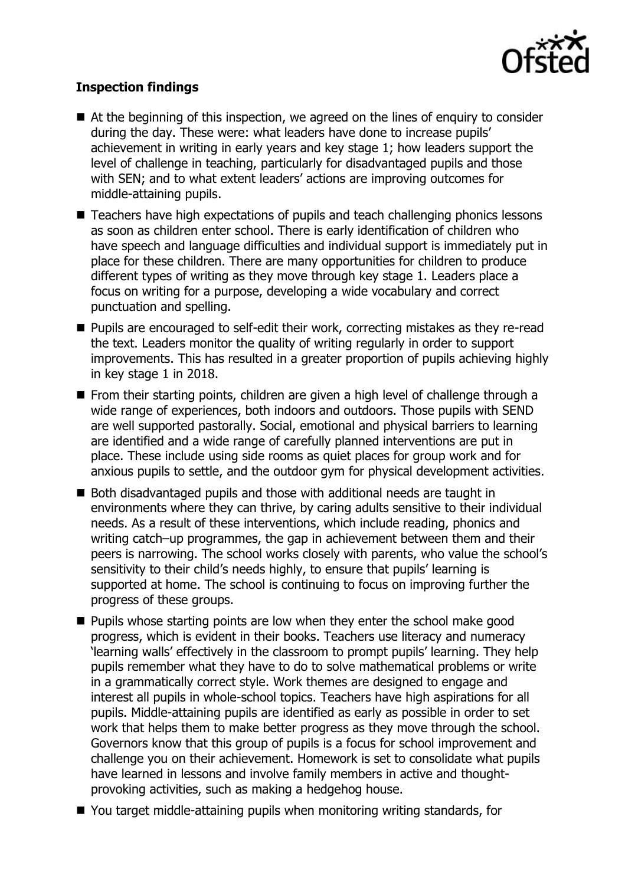

# **Inspection findings**

- At the beginning of this inspection, we agreed on the lines of enguiry to consider during the day. These were: what leaders have done to increase pupils' achievement in writing in early years and key stage 1; how leaders support the level of challenge in teaching, particularly for disadvantaged pupils and those with SEN; and to what extent leaders' actions are improving outcomes for middle-attaining pupils.
- Teachers have high expectations of pupils and teach challenging phonics lessons as soon as children enter school. There is early identification of children who have speech and language difficulties and individual support is immediately put in place for these children. There are many opportunities for children to produce different types of writing as they move through key stage 1. Leaders place a focus on writing for a purpose, developing a wide vocabulary and correct punctuation and spelling.
- Pupils are encouraged to self-edit their work, correcting mistakes as they re-read the text. Leaders monitor the quality of writing regularly in order to support improvements. This has resulted in a greater proportion of pupils achieving highly in key stage 1 in 2018.
- **From their starting points, children are given a high level of challenge through a** wide range of experiences, both indoors and outdoors. Those pupils with SEND are well supported pastorally. Social, emotional and physical barriers to learning are identified and a wide range of carefully planned interventions are put in place. These include using side rooms as quiet places for group work and for anxious pupils to settle, and the outdoor gym for physical development activities.
- Both disadvantaged pupils and those with additional needs are taught in environments where they can thrive, by caring adults sensitive to their individual needs. As a result of these interventions, which include reading, phonics and writing catch–up programmes, the gap in achievement between them and their peers is narrowing. The school works closely with parents, who value the school's sensitivity to their child's needs highly, to ensure that pupils' learning is supported at home. The school is continuing to focus on improving further the progress of these groups.
- $\blacksquare$  Pupils whose starting points are low when they enter the school make good progress, which is evident in their books. Teachers use literacy and numeracy 'learning walls' effectively in the classroom to prompt pupils' learning. They help pupils remember what they have to do to solve mathematical problems or write in a grammatically correct style. Work themes are designed to engage and interest all pupils in whole-school topics. Teachers have high aspirations for all pupils. Middle-attaining pupils are identified as early as possible in order to set work that helps them to make better progress as they move through the school. Governors know that this group of pupils is a focus for school improvement and challenge you on their achievement. Homework is set to consolidate what pupils have learned in lessons and involve family members in active and thoughtprovoking activities, such as making a hedgehog house.
- You target middle-attaining pupils when monitoring writing standards, for